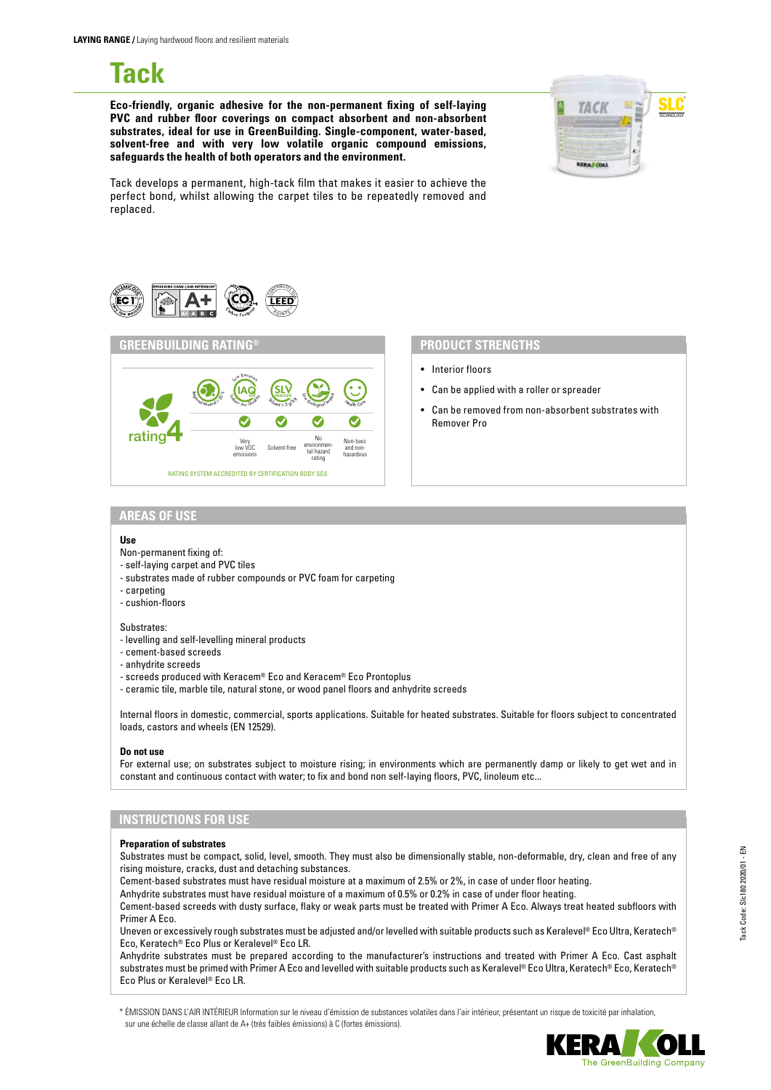# **Tack**

**Eco-friendly, organic adhesive for the non-permanent fixing of self-laying PVC and rubber floor coverings on compact absorbent and non-absorbent substrates, ideal for use in GreenBuilding. Single-component, water-based, solvent-free and with very low volatile organic compound emissions, safeguards the health of both operators and the environment.**



Tack develops a permanent, high-tack film that makes it easier to achieve the perfect bond, whilst allowing the carpet tiles to be repeatedly removed and replaced.





- Interior floors
- Can be applied with a roller or spreader
- Can be removed from non-absorbent substrates with Remover Pro

#### **AREAS OF USE**

#### **Use**

- Non-permanent fixing of:
- self-laying carpet and PVC tiles
- substrates made of rubber compounds or PVC foam for carpeting
- carpeting
- cushion-floors

#### Substrates:

- levelling and self-levelling mineral products
- cement-based screeds
- anhydrite screeds
- screeds produced with Keracem® Eco and Keracem® Eco Prontoplus
- ceramic tile, marble tile, natural stone, or wood panel floors and anhydrite screeds

Internal floors in domestic, commercial, sports applications. Suitable for heated substrates. Suitable for floors subject to concentrated loads, castors and wheels (EN 12529).

#### **Do not use**

For external use; on substrates subject to moisture rising; in environments which are permanently damp or likely to get wet and in constant and continuous contact with water; to fix and bond non self-laying floors, PVC, linoleum etc...

# **INSTRUCTIONS FOR USE**

#### **Preparation of substrates**

Substrates must be compact, solid, level, smooth. They must also be dimensionally stable, non-deformable, dry, clean and free of any rising moisture, cracks, dust and detaching substances.

Cement-based substrates must have residual moisture at a maximum of 2.5% or 2%, in case of under floor heating.

Anhydrite substrates must have residual moisture of a maximum of 0.5% or 0.2% in case of under floor heating.

Cement-based screeds with dusty surface, flaky or weak parts must be treated with Primer A Eco. Always treat heated subfloors with Primer A Eco.

Uneven or excessively rough substrates must be adjusted and/or levelled with suitable products such as Keralevel® Eco Ultra, Keratech® Eco, Keratech® Eco Plus or Keralevel® Eco LR.

Anhydrite substrates must be prepared according to the manufacturer's instructions and treated with Primer A Eco. Cast asphalt substrates must be primed with Primer A Eco and levelled with suitable products such as Keralevel® Eco Ultra, Keratech® Eco, Keratech® Eco Plus or Keralevel® Eco LR.

\* ÉMISSION DANS L'AIR INTÉRIEUR Information sur le niveau d'émission de substances volatiles dans l'air intérieur, présentant un risque de toxicité par inhalation, sur une échelle de classe allant de A+ (très faibles émissions) à C (fortes émissions).

Tack Code: Slc180 2020/01 - EN

Tack Code: Slc180 2020/01 - EN